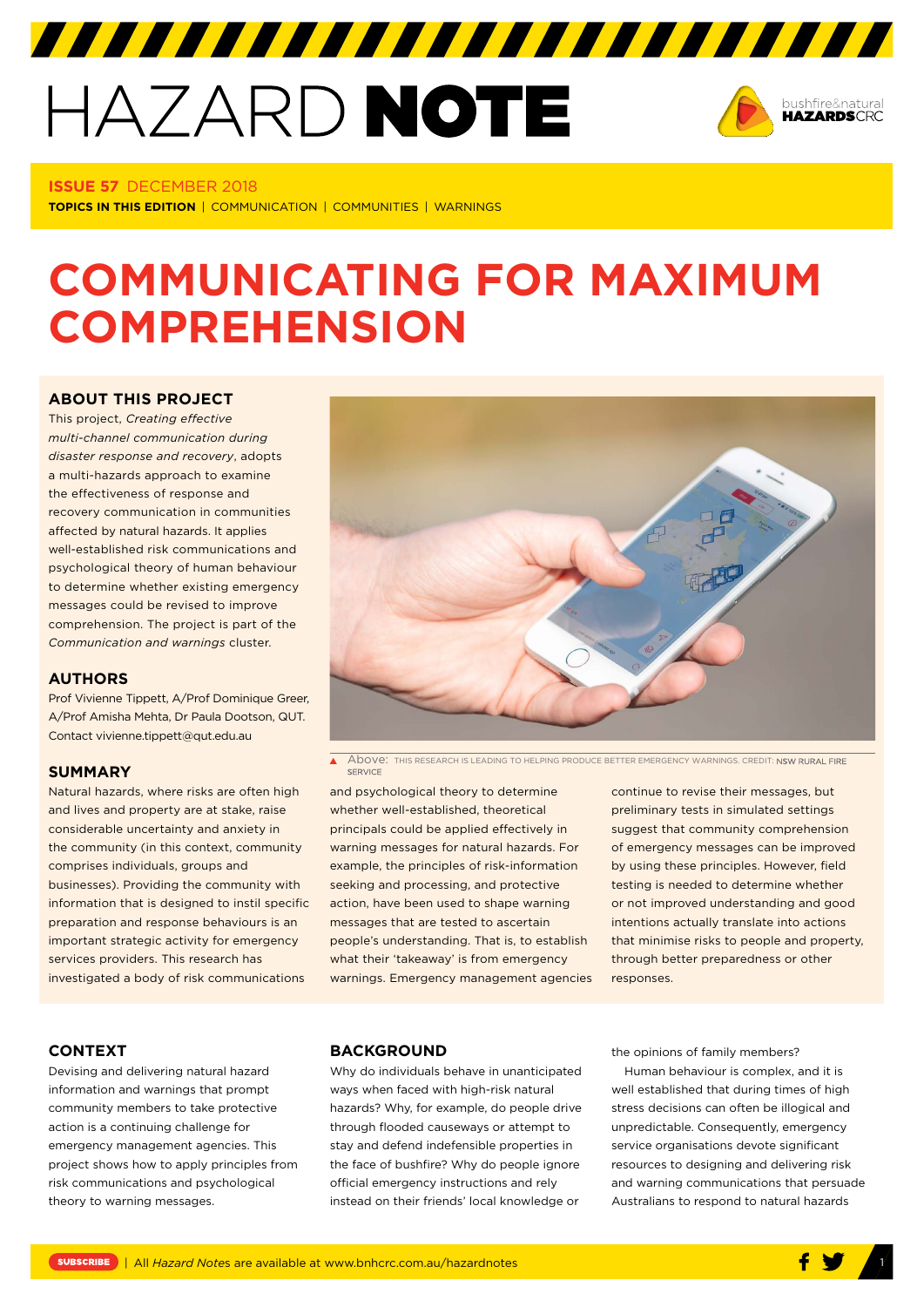# HAZARD NOTE



#### **ISSUE 57** DECEMBER 2018

**TOPICS IN THIS EDITION** | COMMUNICATION | COMMUNITIES | WARNINGS

## **COMMUNICATING FOR MAXIMUM COMPREHENSION**

#### **[ABOUT THIS PROJECT](http://www.bnhcrc.com.au/hazardnotes/57)**

This project, *Creating effective multi-channel communication during disaster response and recovery*, adopts a multi-hazards approach to examine the effectiveness of response and recovery communication in communities affected by natural hazards. It applies well-established risk communications and psychological theory of human behaviour to determine whether existing emergency messages could be revised to improve comprehension. The project is part of the *Communication and warnings* cluster.

#### **AUTHORS**

Prof Vivienne Tippett, A/Prof Dominique Greer, A/Prof Amisha Mehta, Dr Paula Dootson, QUT. Contact vivienne.tippett@qut.edu.au

#### **SUMMARY**

Natural hazards, where risks are often high and lives and property are at stake, raise considerable uncertainty and anxiety in the community (in this context, community comprises individuals, groups and businesses). Providing the community with information that is designed to instil specific preparation and response behaviours is an important strategic activity for emergency services providers. This research has investigated a body of risk communications



 $\blacktriangle$ Above: this research is leading to helping produce better emergency warnings. credit: **nsw rural fire**<br>**service** 

and psychological theory to determine whether well-established, theoretical principals could be applied effectively in warning messages for natural hazards. For example, the principles of risk-information seeking and processing, and protective action, have been used to shape warning messages that are tested to ascertain people's understanding. That is, to establish what their 'takeaway' is from emergency warnings. Emergency management agencies continue to revise their messages, but preliminary tests in simulated settings suggest that community comprehension of emergency messages can be improved by using these principles. However, field testing is needed to determine whether or not improved understanding and good intentions actually translate into actions that minimise risks to people and property, through better preparedness or other responses.

#### **CONTEXT**

Devising and delivering natural hazard information and warnings that prompt community members to take protective action is a continuing challenge for emergency management agencies. This project shows how to apply principles from risk communications and psychological theory to warning messages.

#### **BACKGROUND**

Why do individuals behave in unanticipated ways when faced with high-risk natural hazards? Why, for example, do people drive through flooded causeways or attempt to stay and defend indefensible properties in the face of bushfire? Why do people ignore official emergency instructions and rely instead on their friends' local knowledge or

the opinions of family members?

Human behaviour is complex, and it is well established that during times of high stress decisions can often be illogical and unpredictable. Consequently, emergency service organisations devote significant resources to designing and delivering risk and warning communications that persuade Australians to respond to natural hazards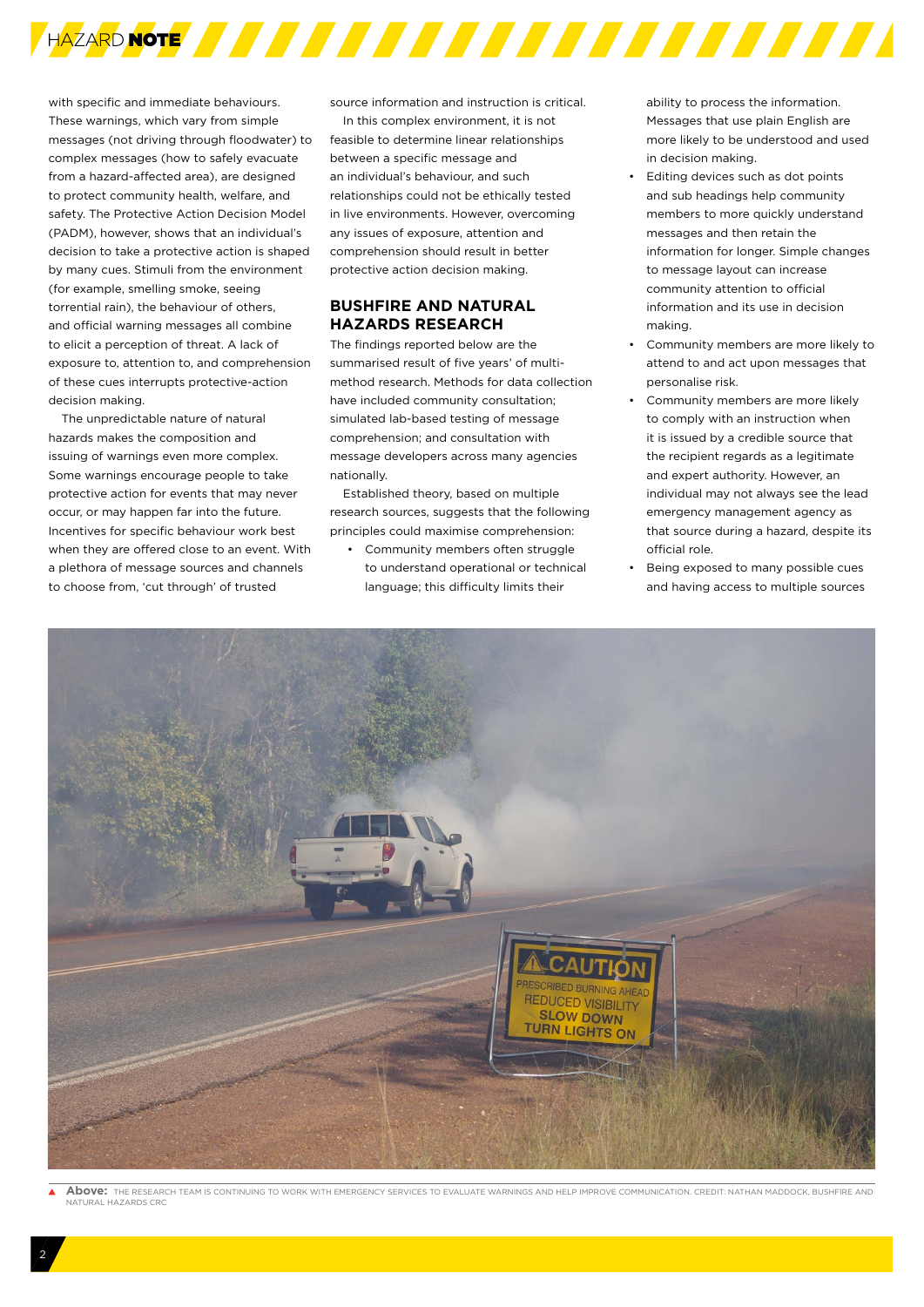

with specific and immediate behaviours. These warnings, which vary from simple messages (not driving through floodwater) to complex messages (how to safely evacuate from a hazard-affected area), are designed to protect community health, welfare, and safety. The Protective Action Decision Model (PADM), however, shows that an individual's decision to take a protective action is shaped by many cues. Stimuli from the environment (for example, smelling smoke, seeing torrential rain), the behaviour of others, and official warning messages all combine to elicit a perception of threat. A lack of exposure to, attention to, and comprehension of these cues interrupts protective-action decision making.

The unpredictable nature of natural hazards makes the composition and issuing of warnings even more complex. Some warnings encourage people to take protective action for events that may never occur, or may happen far into the future. Incentives for specific behaviour work best when they are offered close to an event. With a plethora of message sources and channels to choose from, 'cut through' of trusted

source information and instruction is critical.

In this complex environment, it is not feasible to determine linear relationships between a specific message and an individual's behaviour, and such relationships could not be ethically tested in live environments. However, overcoming any issues of exposure, attention and comprehension should result in better protective action decision making.

#### **BUSHFIRE AND NATURAL HAZARDS RESEARCH**

The findings reported below are the summarised result of five years' of multimethod research. Methods for data collection have included community consultation; simulated lab-based testing of message comprehension; and consultation with message developers across many agencies nationally.

Established theory, based on multiple research sources, suggests that the following principles could maximise comprehension:

• Community members often struggle to understand operational or technical language; this difficulty limits their

ability to process the information. Messages that use plain English are more likely to be understood and used in decision making.

- Editing devices such as dot points and sub headings help community members to more quickly understand messages and then retain the information for longer. Simple changes to message layout can increase community attention to official information and its use in decision making.
- Community members are more likely to attend to and act upon messages that personalise risk.
- Community members are more likely to comply with an instruction when it is issued by a credible source that the recipient regards as a legitimate and expert authority. However, an individual may not always see the lead emergency management agency as that source during a hazard, despite its official role.
- Being exposed to many possible cues and having access to multiple sources



**Above:** THE RESEARCH TEAM IS CONTINUING TO WORK WITH EMERGENCY SERVICES TO EVALUATE WARNINGS AND HELP IMPROVE COMMUNICATION. CREDIT: NATHAN MADDOCK, BUSHFIRE AND NATURAL HAZARDS CRC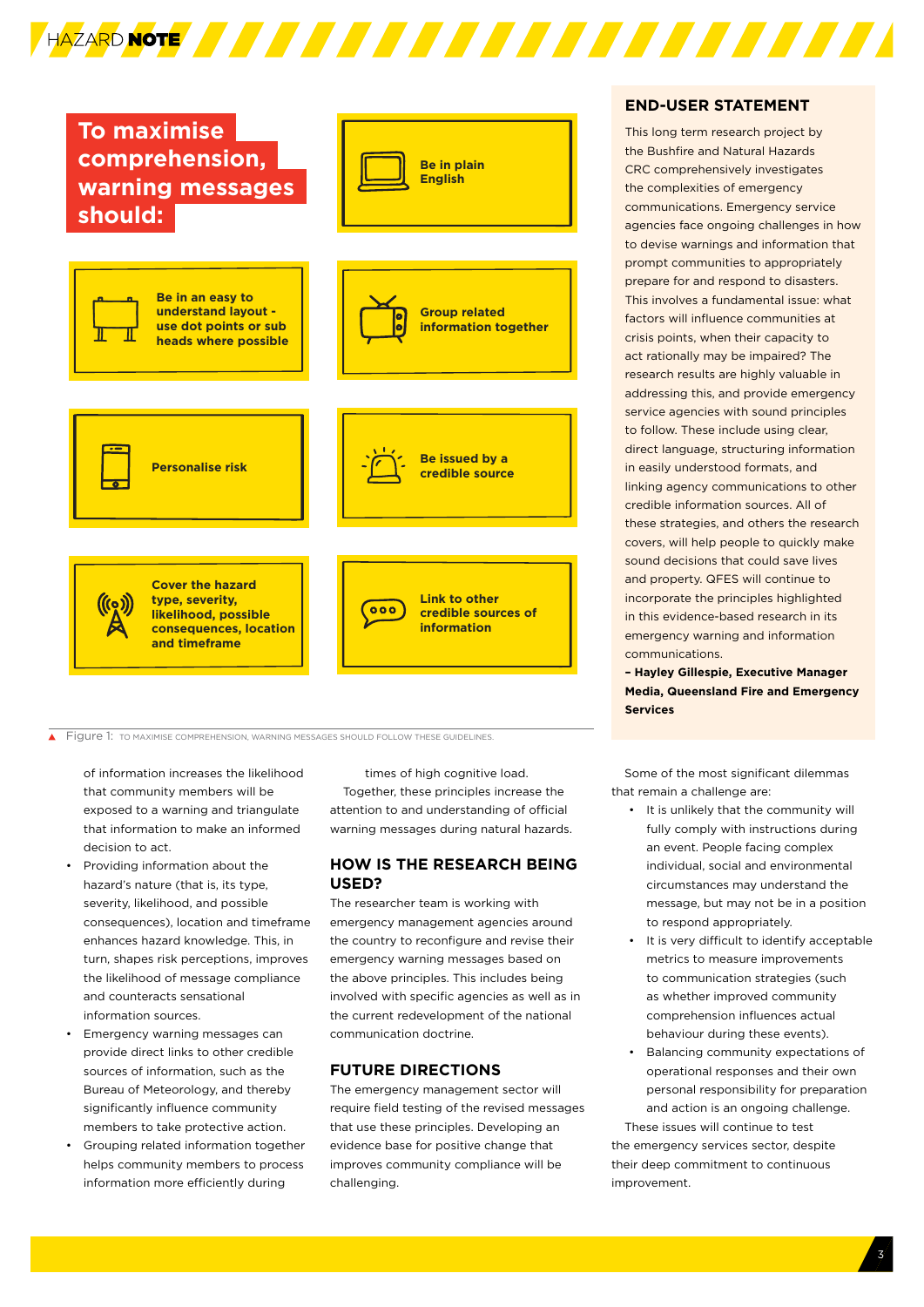

 $\overline{\blacktriangle}$ Figure 1: TO MAXIMISE COMPREHENSION, WARNING MESSAGES SHOULD FOLLOW THESE GUIDELINES.

of information increases the likelihood that community members will be exposed to a warning and triangulate that information to make an informed decision to act.

- Providing information about the hazard's nature (that is, its type, severity, likelihood, and possible consequences), location and timeframe enhances hazard knowledge. This, in turn, shapes risk perceptions, improves the likelihood of message compliance and counteracts sensational information sources.
- Emergency warning messages can provide direct links to other credible sources of information, such as the Bureau of Meteorology, and thereby significantly influence community members to take protective action.
- Grouping related information together helps community members to process information more efficiently during

times of high cognitive load. Together, these principles increase the attention to and understanding of official warning messages during natural hazards.

#### **HOW IS THE RESEARCH BEING USED?**

The researcher team is working with emergency management agencies around the country to reconfigure and revise their emergency warning messages based on the above principles. This includes being involved with specific agencies as well as in the current redevelopment of the national communication doctrine.

#### **FUTURE DIRECTIONS**

The emergency management sector will require field testing of the revised messages that use these principles. Developing an evidence base for positive change that improves community compliance will be challenging.

#### **END-USER STATEMENT**

This long term research project by the Bushfire and Natural Hazards CRC comprehensively investigates the complexities of emergency communications. Emergency service agencies face ongoing challenges in how to devise warnings and information that prompt communities to appropriately prepare for and respond to disasters. This involves a fundamental issue: what factors will influence communities at crisis points, when their capacity to act rationally may be impaired? The research results are highly valuable in addressing this, and provide emergency service agencies with sound principles to follow. These include using clear, direct language, structuring information in easily understood formats, and linking agency communications to other credible information sources. All of these strategies, and others the research covers, will help people to quickly make sound decisions that could save lives and property. QFES will continue to incorporate the principles highlighted in this evidence-based research in its emergency warning and information communications.

**– Hayley Gillespie, Executive Manager Media, Queensland Fire and Emergency Services** 

Some of the most significant dilemmas that remain a challenge are:

- It is unlikely that the community will fully comply with instructions during an event. People facing complex individual, social and environmental circumstances may understand the message, but may not be in a position to respond appropriately.
- It is very difficult to identify acceptable metrics to measure improvements to communication strategies (such as whether improved community comprehension influences actual behaviour during these events).
- Balancing community expectations of operational responses and their own personal responsibility for preparation and action is an ongoing challenge.

These issues will continue to test the emergency services sector, despite their deep commitment to continuous improvement.